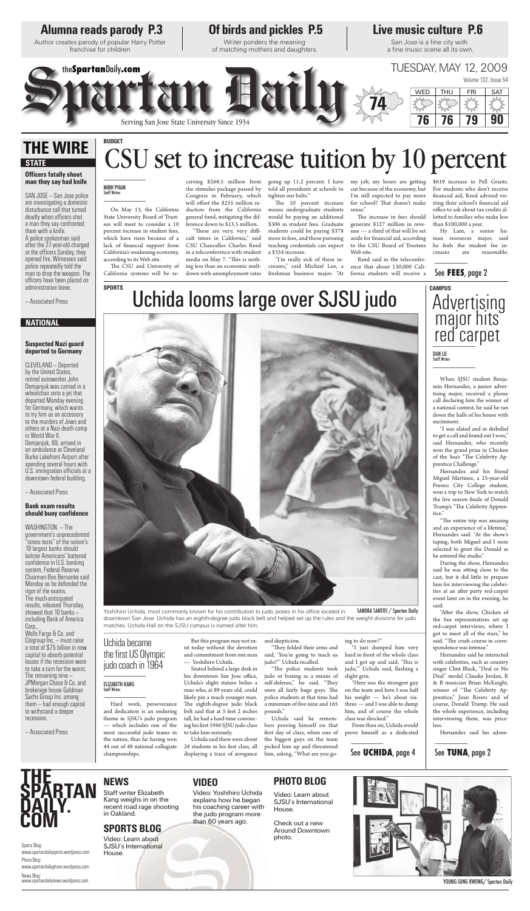When SJSU student Benjamin Hernandez, a junior advertising major, received a phone call declaring him the winner of a national contest, he said he ran down the halls of his house with excitement.

"I was elated and in disbelief to get a call and found out I won," said Hernandez, who recently won the grand prize in Chicken of the Sea's "The Celebrity Apprentice Challenge."

Hernandez and his friend Miguel Martinez, a 25-year-old Fresno City College student, won a trip to New York to watch the live season finale of Donald Trump's "The Celebrity Apprentice."

"The entire trip was amazing and an experience of a lifetime. Hernandez said. "At the show's taping, both Miguel and I were selected to greet the Donald as he entered the studio." During the show, Hernandez said he was sitting close to the cast, but it did little to prepare him for interviewing the celebrities at an after party red-carpet event later on in the evening, he said. "After the show, Chicken of the Sea representatives set up red-carpet interviews, where I got to meet all of the stars," he said. "The crash course in correspondence was intense." Hernandez said he interacted with celebrities, such as country singer Clint Black, "Deal or No Deal" model Claudia Jordan, R & B musician Brian McKnight, winner of "The Celebrity Apprentice," Joan Rivers and of course, Donald Trump. He said the whole experience, including interviewing them, was priceless.

"They folded their arms and said, 'You're going to teach us judo?'" Uchida recalled.

"The police students took judo or boxing as a means of self-defense," he said. "They were all fairly huge guys. The police students at that time had a minimum of five-nine and 165 pounds."

Hernandez said his adven-

Hard work, perseverance and dedication is an enduring theme in SJSU's judo program — which includes one of the most successful judo teams in the nation, thus far having won 44 out of 48 national collegiate championships.

The CSU and University of California systems will be re-

> But this program may not exist today without the devotion and commitment from one man — Yoshihiro Uchida.

"These are very, very difficult times in California," said CSU Chancellor Charles Reed in a teleconference with student media on May 7. "This is nothing less than an economic meltdown with unemployment rates

Seated behind a large desk in his downtown San Jose office, Uchida's slight stature belies a man who, at 89 years old, could likely pin a much younger man. The eighth-degree judo black belt said that at 5 feet 2 inches tall, he had a hard time convincing his first 1946 SJSU judo class to take him seriously.

The 10 percent increase means undergraduate students would be paying an additional \$306 in student fees. Graduate students could be paying \$378 more in fees, and those pursuing teaching credentials can expect a \$354 increase.

going up 11.2 percent. I have my job, my hours are getting cut because of the economy, but I'm still expected to pay more for school? That doesn't make sense."

Uchida said there were about 28 students in his first class, all displaying a trace of arrogance and skepticism.

The increase in fees should lotted to families who make less \$619 increase in Pell Grants. For students who don't receive financial aid, Reed advised visiting their school's financial aid office to ask about tax credits althan \$100,000 a year.

Yoshihiro Uchida, most commonly known for his contribution to judo, poses in his office located in downtown San Jose. Uchida has an eighth-degree judo black belt and helped set up the rules and the weight divisions for judo matches. Uchida Hall on the SJSU campus is named after him.

> Uchida said he remembers proving himself on that first day of class, when one of the biggest guys on the team picked him up and threatened him, asking, "What are you go-

ing to do now?"

"I just dumped him very hard in front of the whole class and I got up and said, 'This is judo," Uchida said, flashing a slight grin.

### **Officers fatally shoot man they say had knife**

"Here was the strongest guy on the team and here I was half his weight — he's about sixthree — and I was able to dump him, and of course the whole class was shocked."

From then on, Uchida would prove himself as a dedicated

On May 13, the California State University Board of Trustees will meet to consider a 10 percent increase in student fees, which have risen because of a lack of financial support from California's weakening economy, according to its Web site.

### **Bank exam results**  should buoy confidence

ceiving \$268.5 million from the stimulus package passed by Congress in February, which will offset the \$255 million reduction from the California general fund, mitigating the difference down to \$13.5 million.

Wells Fargo & Co. and Citigroup Inc. — must raise a total of \$75 billion in new capital to absorb potential losses if the recession were to take a turn for the worst. The remaining nine — JPMorgan Chase & Co. and brokerage house Goldman Sachs Group Inc. among them — had enough capital to withstand a deeper recession.

TUESDAY, MAY 12, 2009  $S$  serving san jose state University Since  $\frac{1}{2}$ the**Spartan**Daily**.com** TUESDAY, MAY 12, 2009 WED **76 76 79 90 74**

> told all presidents at schools to tighten our belts."

"I'm really sick of these increases," said Michael Lee, a freshman business major. "At generate \$127 million in revenue — a third of that will be set aside for financial aid, according to the CSU Board of Trustees Web site.

Reed said in the teleconference that about 130,000 California students will receive a

Hy Lam, a senior human resources major, said he feels the student fee increases are reasonable.

# **Alumna reads parody P.3**

Author creates parody of popular Harry Potter franchise for children

YOUNG-SUNG KWONG/ Spartan Daily

# **Of birds and pickles P.5 Live music culture P.6**

Writer ponders the meaning of matching mothers and daughters.

San Jose is a fine city with a fine music scene all its own.

Sports Blog: www.spartandailysports.wordpress.com Photo Blog: www.spartandailyphoto.wordpress.com News Blog: www.spartandailynews.wordpress.com

SAN JOSE — San Jose police are investigating a domestic disturbance call that turned deadly when officers shot a man they say confronted them with a knife. A police spokesman said after the 27-year-old charged at the officers Sunday, they opened fire. Witnesses said police repeatedly told the man to drop the weapon. The offi cers have been placed on administrative leave.

— Associated Press

### **Suspected Nazi guard deported to Germany**

CLEVELAND — Deported by the United States, retired autoworker John Demjanjuk was carried in a wheelchair onto a jet that departed Monday evening for Germany, which wants to try him as an accessory to the murders of Jews and others at a Nazi death camp in World War II. Demjanjuk, 89, arrived in an ambulance at Cleveland Burke Lakefront Airport after spending several hours with U.S. immigration officials at a downtown federal building.

— Associated Press

WASHINGTON — The

government's unprecedented "stress tests" of the nation's 19 largest banks should bolster Americans' battered confidence in U.S. banking system, Federal Reserve Chairman Ben Bernanke said Monday as he defended the rigor of the exams. The much-anticipated results, released Thursday, showed that 10 banks including Bank of America Corp.,

— Associated Press

# **THE WIRE STATE**

### **NATIONAL**

### See **TUNA**, page 2

# $B$ **E BARTAN**

See **FEES**, page 2

See **UCHIDA**, page 4

# **BUDGET** CSU set to increase tuition by 10 percent

# MINH PHAM<br>Staff Writer

**SPORTS CAMPUS** Uchida looms large over SJSU judo





### **PHOTO BLOG**

Video: Learn about SJSU's International House.

Check out a new Around Downtown photo.



### **NEWS**

Staff writer Elizabeth Kang weighs in on the recent road rage shooting in Oakland.

### **SPORTS BLOG**

Video: Learn about SJSU's International House.

### **VIDEO**

Video: Yoshihiro Uchida explains how he began his coaching career with the judo program more than 60 years ago.



### Uchida became the first US Olympic judo coach in 1964

# Staff Writer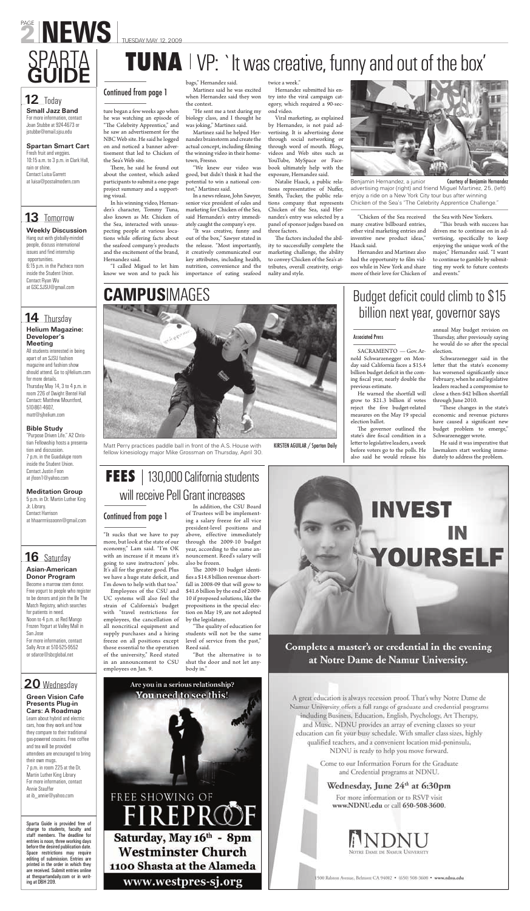Matt Perry practices paddle ball in front of the A.S. House with fellow kinesiology major Mike Grossman on Thursday, April 30.

"It sucks that we have to pay more, but look at the state of our economy," Lam said. "I'm OK with an increase if it means it's going to save instructors' jobs. It's all for the greater good. Plus we have a huge state deficit, and I'm down to help with that too."

Employees of the CSU and UC systems will also feel the strain of California's budget with "travel restrictions for employees, the cancellation of all noncritical equipment and supply purchases and a hiring freeze on all positions except those essential to the operation of the university," Reed stated in an announcement to CSU employees on Jan. 9.

There, he said he found out about the contest, which asked participants to submit a one-page project summary and a supporting visual.

> In addition, the CSU Board of Trustees will be implementing a salary freeze for all vice president-level positions and above, effective immediately through the 2009-10 budget year, according to the same announcement. Reed's salary will also be frozen. The 2009-10 budget identifies a \$14.8 billion revenue shortfall in 2008-09 that will grow to \$41.6 billion by the end of 2009- 10 if proposed solutions, like the propositions in the special election on May 19, are not adopted by the legislature. "The quality of education for students will not be the same level of service from the past," Reed said.

"But the alternative is to shut the door and not let anybody in."

# YOURSELF

Complete a master's or credential in the evening at Notre Dame de Namur University.

A great education is always recession proof. That's why Notre Dame de Namur University offers a full range of graduate and credential programs including Business, Education, English, Psychology, Art Therapy, and Music. NDNU provides an array of evening classes so your education can fit your busy schedule. With smaller class sizes, highly qualified teachers, and a convenient location mid-peninsula,

NDNU is ready to help you move forward.

Come to our Information Forum for the Graduate and Credential programs at NDNU.

### Wednesday, June 24th at 6:30pm

For more information or to RSVP visit www.NDNU.edu or call 650-508-3600.



500 Rabiun Avroue, Belmont CA 94002 · (650) 508-3600 · www.ndnu.edu

Hernandez submitted his entry into the viral campaign category, which required a 90-second video.

**TUNA** I VP: `It was creative, funny and out of the box'

ture began a few weeks ago when he was watching an episode of "The Celebrity Apprentice," and he saw an advertisement for the NBC Web site. He said he logged on and noticed a banner advertisement that led to Chicken of the Sea's Web site.

> The factors included the ability to successfully complete the marketing challenge, the ability to convey Chicken of the Sea's attributes, overall creativity, originality and style.



In his winning video, Hernandez's character, Tommy Tuna, also known as Mr. Chicken of the Sea, interacted with unsuspecting people at various locations while offering facts about the seafood company's products and the excitement of the brand, Hernandez said.

"I called Miguel to let him know we won and to pack his

"This brush with success has driven me to continue on in advertising, specifically to keep enjoying the unique work of the major," Hernandez said. "I want to continue to gamble by submitting my work to future contests and events."

bags," Hernandez said.

# FEES | 130,000 California students will receive Pell Grant increases

Are you in a serious relationship? You need to see this!

FREE SHOWING OF

FIREPRO

Saturday, May 16th - 8pm

**Westminster Church** 

1100 Shasta at the Alameda

www.westpres-sj.org

Martinez said he was excited when Hernandez said they won the contest.

**Weekly Discussion** Hang out with globally-minded people, discuss international issues and find internship

**13** Tomorrow

"He sent me a text during my biology class, and I thought he was joking," Martinez said.

Martinez said he helped Hernandez brainstorm and create the actual concept, including filming the winning video in their hometown, Fresno.

"We knew our video was good, but didn't think it had the potential to win a national contest," Martinez said.

In a news release, John Sawyer, senior vice president of sales and marketing for Chicken of the Sea, said Hernandez's entry immediately caught the company's eye.

"It was creative, funny and out of the box," Sawyer stated in the release. "Most importantly, it creatively communicated our key attributes, including health, nutrition, convenience and the importance of eating seafood

twice a week."

Viral marketing, as explained by Hernandez, is not paid advertising. It is advertising done through social networking or through word of mouth. Blogs, videos and Web sites such as YouTube, MySpace or Facebook ultimately help with the exposure, Hernandez said.

Natalie Haack, a public relations representative of Nuffer, Smith, Tucker, the public relations company that represents Chicken of the Sea, said Hernandez's entry was selected by a panel of sponsor judges based on three factors.

> SACRAMENTO — Gov. Arnold Schwarzenegger on Monday said California faces a \$15.4 billion budget deficit in the coming fiscal year, nearly double the previous estimate.

> The governor outlined the state's dire fiscal condition in a letter to legislative leaders, a week before voters go to the polls. He also said he would release his

"Chicken of the Sea received many creative billboard entries, other viral marketing entries and inventive new product ideas," Haack said.

> "These changes in the state's economic and revenue pictures have caused a significant new budget problem to emerge," Schwarzenegger wrote.

Hernandez and Martinez also had the opportunity to film videos while in New York and share more of their love for Chicken of

# Budget deficit could climb to \$15 billion next year, governor says

the Sea with New Yorkers.

**Small Jazz Band** For more information, contact Joan Stubbe at 924-4673 or jstubbe@email.sjsu.edu

**Spartan Smart Cart**

Fresh fruit and veggies. 10:15 a.m. to 3 p.m. in Clark Hall,

rain or shine. Contact Luisa Garrett at luisa@postalmodern.com

opportunities.

6:15 p.m. in the Pacheco room inside the Student Union. Contact Ryan Wu at GSC.SJSU@gmail.com

# **Helium Magazine:**

### **Developer's Meeting**

# All students interested in being

apart of an SJSU fashion magazine and fashion show should attend. Go to sjHelium.com for more details. Thursday May 14, 3 to 4 p.m. in room 226 of Dwight Bentel Hall Contact: Matthew Mountford, 510-861-4607,

matt@sjhelium.com

### **Bible Study**

"Purpose Driven Life." A2 Christian Fellowship hosts a presentation and discussion. 7 p.m. in the Guadalupe room inside the Student Union. Contact Justin Foon at jfoon1@yahoo.com

### **Meditation Group**

5 p.m. in Dr. Martin Luther King Jr. Library. Contact Harrison at hhaarrrriissoonn@gmail.com

### **Asian-American Donor Program**

Become a marrow stem donor. Free yogurt to people who register to be donors and join the Be The Match Registry, which searches for patients in need. Noon to 4 p.m. at Red Mango Frozen Yogurt at Valley Mall in San Jose For more information, contact Sally Arce at 510-525-9552 or sdarce@sbcglobal.net

20 Wednesday

**Green Vision Cafe Presents Plug-in Cars: A Roadmap** Learn about hybrid and electric cars, how they work and how they compare to their traditional gas-powered cousins. Free coffee and tea will be provided attendees are encouraged to bring their own mugs. 7 p.m. in room 225 at the Dr. Martin Luther King Library For more information, contact Annie Stauffer at ib\_annie@yahoo.com

Sparta Guide is provided free of charge to students, faculty and staff members. The deadline for entries is noon, three working days before the desired publication date. Space restrictions may require editing of submission. Entries are printed in the order in which they are received. Submit entries online at thespartandaily.com or in writing at DBH 209.

**12** Today

# Continued from page 1

# Continued from page 1

Benjamin Hernandez, a junior advertising major (right) and friend Miguel Martinez, 25, (left) enjoy a ride on a New York City tour bus after winning Chicken of the Sea's "The Celebrity Apprentice Challenge."

KIRSTEN AGUILAR / Spartan Daily

### **16** Saturday

He warned the shortfall will grow to \$21.3 billion if votes reject the five budget-related measures on the May 19 special election ballot.

annual May budget revision on Thursday, after previously saying he would do so after the special election.

Schwarzenegger said in the letter that the state's economy has worsened significantly since February, when he and legislative leaders reached a compromise to close a then-\$42 billion shortfall through June 2010.

He said it was imperative that lawmakers start working immediately to address the problem.



### Associated Press

# **CAMPUS**IMAGES

# **14** Thursday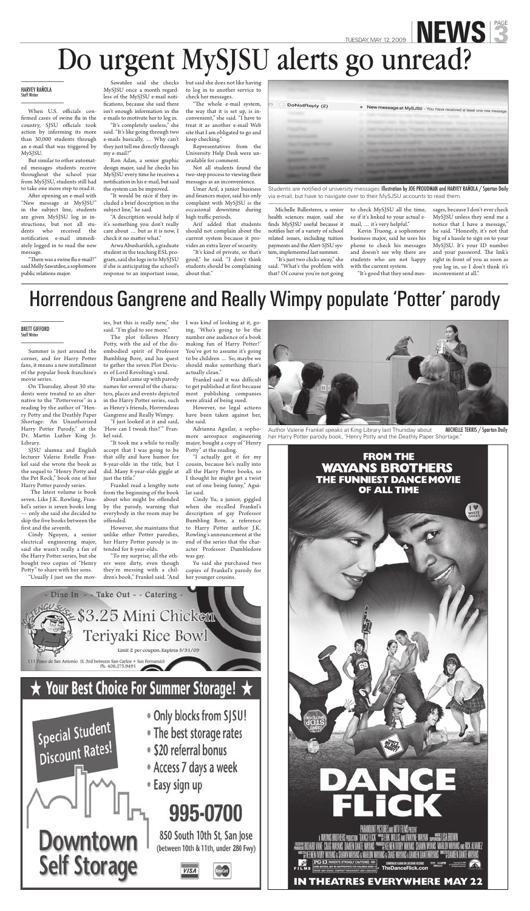Summer is just around the corner, and for Harry Potter fans, it means a new installment of the popular book franchise's movie series.

On Thursday, about 30 students were treated to an alternative to the "Potterverse" in a reading by the author of "Henry Potty and the Deathly Paper Shortage: An Unauthorized Harry Potter Parody," at the Dr. Martin Luther King Jr. Library.

SJSU alumna and English lecturer Valerie Estelle Frankel said she wrote the book as the sequel to "Henry Potty and the Pet Rock," book one of her Harry Potter parody series.

 The latest volume is book seven. Like J.K. Rowling, Frankel's series is seven books long — only she said she decided to skip the five books between the first and the seventh.

Cindy Nguyen, a senior electrical engineering major, said she wasn't really a fan of the Harry Potter series, but she bought two copies of "Henry Potty" to share with her sons.

"Usually I just see the mov-

ies, but this is really new," she I was kind of looking at it, gosaid. "I'm glad to see more."

The plot follows Henry Potty, with the aid of the disembodied spirit of Professor Bumbling Bore, and his quest to gather the seven Plot Devices of Lord Revolting's soul.

Frankel came up with parody names for several of the characters, places and events depicted in the Harry Potter series, such as Henry's friends, Horrendous Gangrene and Really Wimpy.

"I just looked at it and said, 'How can I tweak this?'" Frankel said.

"It took me a while to really accept that I was going to be that silly and have humor for 8-year-olds in the title, but I did. Many 8-year-olds giggle at just the title."

When U.S. officials confirmed cases of swine flu in the country, SJSU officials took action by informing its more than 30,000 students through an e-mail that was triggered by MySJSU.

> Frankel read a lengthy note from the beginning of the book about who might be offended by the parody, warning that everybody in the room may be offended.

After opening an e-mail with "New message at MySJSU" in the subject line, students are given MySJSU log in instructions, but not all students who received the notification e-mail immediately logged in to read the new message.

However, she maintains that

"There was a swine flu e-mail?" said Melly Sawatdee, a sophomore public relations major.

> unlike other Potter parodies, her Harry Potter parody is intended for 8-year-olds.

> "To my surprise, all the others were dirty, even though they're messing with a children's book," Frankel said. "And

"A description would help if it's something you don't really care about … but as it is now, I check it no matter what."

> ing, 'Who's going to be the number one audience of a book making fun of Harry Potter?' You've got to assume it's going to be children … So, maybe we should make something that's actually clean."

Frankel said it was difficult to get published at first because most publishing companies were afraid of being sued.

"The whole e-mail system, the way that it is set up, is inconvenient," she said. "I have to treat it as another e-mail Web site that I am obligated to go and keep checking."

However, no legal actions have been taken against her, she said.

Umer Arif, a junior business and finances major, said his only complaint with MySJSU is the occasional downtime during high traffic periods.

Adrianna Aguilar, a sophomore aerospace engineering major, bought a copy of "Henry Potty" at the reading.

"I actually got it for my cousin, because he's really into all the Harry Potter books, so I thought he might get a twist out of one being funny," Aguilar said.

Cindy Yu, a junior, giggled when she recalled Frankel's description of gay Professor Bumbling Bore, a reference to Harry Potter author J.K. Rowling's announcement at the end of the series that the character Professor Dumbledore was gay.



Author Valerie Frankel speaks at King Library last Thursday about her Harry Potter parody book, "Henry Potty and the Deathly Paper Shortage."



Yu said she purchased two copies of Frankel's parody for her younger cousins.



# $\star$  Your Best Choice For Summer Storage!  $\star$



- . Only blocks from SJSU!
- The best storage rates
- · \$20 referral bonus
- Access 7 days a week
- <sup>®</sup> Easy sign up

# 995-0700

850 South 10th St, San Jose (between 10th & 11th, under 280 Fwy)



# TUESDAY, MAY 12, 2009 **NEWS** 3 Do urgent MySJSU alerts go unread?

But similar to other automated messages students receive throughout the school year from MySJSU, students still had to take one more step to read it.

MySJSU once a month regardless of the MySJSU e-mail notifications, because she said there isn't enough information in the e-mails to motivate her to log in.

"It's completely useless," she said. "It's like going through two e-mails basically, … Why can't they just tell me directly through my e-mail?"

Ron Adan, a senior graphic design major, said he checks his MySJSU every time he receives a notification in his e-mail, but said the system can be improved.

Sawatdee said she checks but said she does not like having to log in to another service to check her messages.

"It would be nice if they included a brief description in the subject line," he said.

Arwa Abusharifeh, a graduate student in the teaching ESL program, said she logs in to MySJSU if she is anticipating the school's response to an important issue,

Representatives from the University Help Desk were unavailable for comment.

Not all students found the two-step process to viewing their messages as an inconvenience.

Arif added that students should not complain about the current system because it provides an extra layer of security.

"It's kind of private, so that's good," he said. "I don't think students should be complaining about that."

| New message at MySJSU - You have received at least one new message |  |  |  |  |
|--------------------------------------------------------------------|--|--|--|--|
|                                                                    |  |  |  |  |
|                                                                    |  |  |  |  |
|                                                                    |  |  |  |  |

Students are notified of university messages Illustration by JOE PROUDMAN and HARVEY RAÑOLA / Spartan Dailv via e-mail, but have to navigate over to their MySJSU accounts to read them.

Michelle Ballesteros, a senior health sciences major, said she finds MySJSU useful because it notifies her of a variety of school related issues, including tuition payments and the Alert-SJSU system, implemented last summer.

 "It's just two clicks away," she said. "What's the problem with that? Of course you're not going

to check MySJSU all the time, so if it's linked to your actual email, … it's very helpful."

Kevin Truong, a sophomore business major, said he uses his phone to check his messages and doesn't see why there are students who are not happy with the current system. "It's good that they send messages, because I don't ever check MySJSU unless they send me a notice that I have a message," he said. "Honestly, it's not that big of a hassle to sign on to your MySJSU. It's your ID number and your password. The link's right in front of you as soon as you log in, so I don't think it's inconvenient at all."

### HARVEY RAÑOLA

# Horrendous Gangrene and Really Wimpy populate 'Potter' parody

### **BRETT GIFFORD**<br>Staff Writer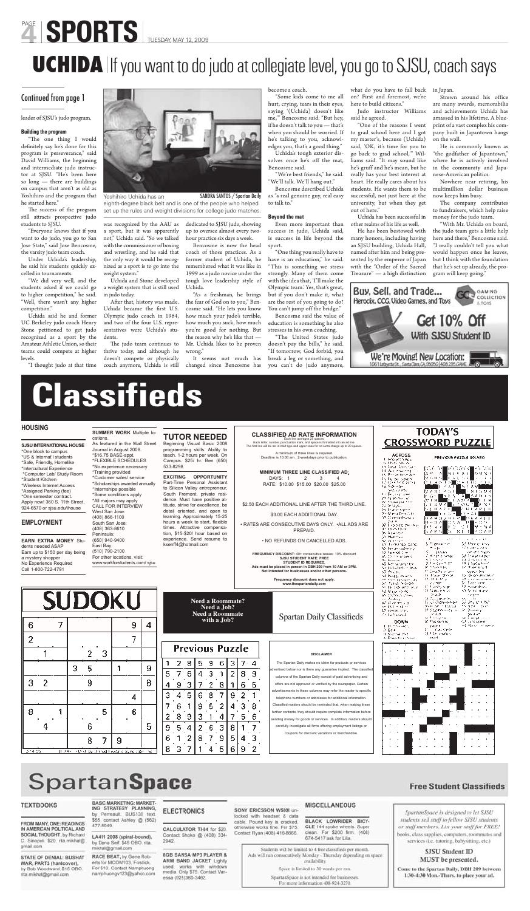# **Classifieds**

### **HOUSING**

**SJSU INTERNATIONAL HOUSE**  \*One block to campus \*US & Internat'l students \*Safe, Friendly, Homelike \*Intercultural Experience \*Computer Lab/ Study Room \*Student Kitchen \*Wireless Internet Access \*Assigned Parking (fee) \*One semester contract. Apply now! 360 S. 11th Street, 924-6570 or sjsu.edu/ihouse

### **EMPLOYMENT**

**SUMMER WORK** Multiple lo-

cations. As featured in the Wall Street Journal in August 2008. \*\$16.75 BASE-appt. \*FLEXIBLE SCHEDULES \*No experience necessary

\*Training provided \*Customer sales/ service \*Scholarships awarded annually \*Internships possible \*Some conditions apply \*All majors may apply CALL FOR INTERVIEW West San Jose: (408) 866-1100 South San Jose:

# **TUTOR NEEDED**

Beginning Visual Basic 2008 programming skills. Ability to teach. 1-2 hours per week. On Campus. \$25/ hr. Ben (650) 533-8298

**EXCITING OPPORTUNITY**  Part-Time Personal Assistant to Silicon Valley entrepreneur, South Fremont, private residence. Must have positive attitude, strive for excellence, be detail oriented, and open to learning. Approximately 15-25 hours a week to start, flexible

| <b>EARN EXTRA MONEY Stu-</b><br>dents needed ASAP<br>Earn up to \$150 per day being<br>a mystery shopper<br>No Experience Required<br>Call 1-800-722-4791<br><b>SUDOKU</b> |   |  |                                            | Peninsula:<br>East Bay: | (408) 363-8610<br>(650) 940-9400<br>(510) 790-2100 | For other locations, visit: | www.workforstudents.com/sjsu |        | times. Attractive compensa-<br>tion. \$15-\$20/ hour based on<br>experience. Send resume to<br>ksenff4@hotmail.com |        |   |                                                   |                            |   |        |                        | PREPAID.<br>. NO REFUNDS ON CANCELLED ADS.<br><b>FREQUENCY DISCOUNT: 40+ consecutive issues: 10% discount</b><br><b>SJSU STUDENT RATE: FREE</b><br>STUDENT ID REQUIRED.<br>Ads must be placed in person in DBH 209 from 10 AM or 3PM.<br>Not intended for businesses and/or other persons.<br>Frequency discount does not apply.<br>www.thespartandaily.com | 35 Fazy UN a<br>あいき [エンジェル]<br>50 Mendee<br>42. A 23. Am<br>en Lemanas cand<br>A2 In-department of<br>43 Innocent Con-<br>all Chinese or sever.<br>45 ISSUED<br>48 horizonen tek<br>text whether the travel<br>結婚の女<br>nd Posta Promis<br>58. Benja pravinskeg<br>of how believe<br>ter the vide with and<br>ひせいいべ                                                                                  | 119 E V O<br>. .<br>医舌状丛<br>l:r<br>5. Pagnosemen<br>Tik Pr<br>A posto<br>2. Sent Looking<br>n Drey for<br>2. Federal Store<br><b>IC MANNEY</b><br><b>At Deadly project</b><br>12 Page decad<br>15 K.L.P. Y<br><b>CONTROL</b><br>20 Farth com<br>25 Notice for an | mar a shekara<br><b>A</b> 11<br>-S.L<br>ls ii a r<br>$-1.11$<br>38 Mariner ann<br>STORES AND<br>Service 1, 1992.<br>38 Straus Moor<br>40 di degreci in<br>da i nyeta han<br>14 dezembra di<br><b>September</b><br>by the counterance<br>90 view nazwiedzie<br>britanniche<br>12 maardeks<br>53 Noted Harry |                                                                                                                                            |
|----------------------------------------------------------------------------------------------------------------------------------------------------------------------------|---|--|--------------------------------------------|-------------------------|----------------------------------------------------|-----------------------------|------------------------------|--------|--------------------------------------------------------------------------------------------------------------------|--------|---|---------------------------------------------------|----------------------------|---|--------|------------------------|-------------------------------------------------------------------------------------------------------------------------------------------------------------------------------------------------------------------------------------------------------------------------------------------------------------------------------------------------------------|-----------------------------------------------------------------------------------------------------------------------------------------------------------------------------------------------------------------------------------------------------------------------------------------------------------------------------------------------------------------------------------------------------|------------------------------------------------------------------------------------------------------------------------------------------------------------------------------------------------------------------------------------------------------------------|------------------------------------------------------------------------------------------------------------------------------------------------------------------------------------------------------------------------------------------------------------------------------------------------------------|--------------------------------------------------------------------------------------------------------------------------------------------|
| 6                                                                                                                                                                          |   |  |                                            |                         |                                                    |                             | 9<br>7                       | 4      |                                                                                                                    |        |   | <b>Need a Roommate?</b><br><b>Need a Roommate</b> | Need a Job?<br>with a Job? |   |        |                        |                                                                                                                                                                                                                                                                                                                                                             | <b>Spartan Daily Classifieds</b>                                                                                                                                                                                                                                                                                                                                                                    | <b>Info 22 Chickens and Street</b><br>res Aubrey<br>Wild average of<br>en Datier Okle<br>62 (MON. 119)<br><b>Collaboration</b><br><b>DOWN</b><br><b>LITTLE Service Address</b><br>A Bas<br>Il Noma 251<br>A. Draw to an Sean                                     | 2.80<br>Di Galegoarky<br>22 CFO passenger<br>Dream Art of Danisla<br>24 Students and Line<br>20020<br>المشترع والمستقبلين<br>30 Pospering<br>page n<br>31 Countries<br>NET DE PERCEN<br>de and                                                                                                             | <b>STATISTICS</b><br>55 U.S.<br>12:35:00:00<br>the dealers are a<br>At Brewing<br>product<br>ro Energ<br>SA LATO DOME<br>nd Ab Scott which |
|                                                                                                                                                                            |   |  |                                            | 2                       | 3                                                  |                             |                              |        |                                                                                                                    |        |   |                                                   |                            |   |        | <b>Previous Puzzle</b> |                                                                                                                                                                                                                                                                                                                                                             | <b>DISCLAIMER</b>                                                                                                                                                                                                                                                                                                                                                                                   |                                                                                                                                                                                                                                                                  |                                                                                                                                                                                                                                                                                                            |                                                                                                                                            |
| 3                                                                                                                                                                          | 2 |  | 3                                          | 5<br>9                  |                                                    |                             | 4                            | 9<br>8 | 5                                                                                                                  | 9<br>4 | 5 |                                                   | 9<br>3<br>8                | 8 | З<br>2 | 8<br>6                 | 9<br>5                                                                                                                                                                                                                                                                                                                                                      | The Spartan Daily makes no claim for products or services<br>advertised below nor is there any guarantee implied. The classified<br>columns of the Spartan Daily consist of paid advertising and<br>offers are not approved or verified by the newspaper. Certain<br>advertisements in these columns may refer the reader to specific<br>telephone numbers or addresses for additional information. |                                                                                                                                                                                                                                                                  |                                                                                                                                                                                                                                                                                                            |                                                                                                                                            |
| 8                                                                                                                                                                          | 4 |  |                                            | 6                       | 5                                                  |                             | 6                            | 5      | 9                                                                                                                  | 6<br>8 | э | 9<br>3                                            |                            | з | 8      | 3<br>5                 | 8<br>6                                                                                                                                                                                                                                                                                                                                                      | Classified readers should be reminded that, when making these<br>further contacts, they should require complete information before<br>sending money for goods or services. In addition, readers should<br>carefully investigate all firms offering employment listings or                                                                                                                           |                                                                                                                                                                                                                                                                  |                                                                                                                                                                                                                                                                                                            |                                                                                                                                            |
| D-14-05                                                                                                                                                                    |   |  | JUS XX - Only Liv throad Gadene synd rate. | 8                       |                                                    | 9                           |                              | fat.   | 6<br>8                                                                                                             |        |   |                                                   |                            | 9 | 6      | 9                      | 3<br>2                                                                                                                                                                                                                                                                                                                                                      | coupons for discount vacations or merchandise.                                                                                                                                                                                                                                                                                                                                                      |                                                                                                                                                                                                                                                                  |                                                                                                                                                                                                                                                                                                            |                                                                                                                                            |

# SpartanSpace

#### **TEXTBOOKS**

FROM MANY, ONE: READINGS IN AMERICAN POLITICAL AND SOCIAL THOUGHT, by Richard C. Sinopoli. \$20. rita.mikhal@ gmail.com

**STATE OF DENIAL: BUSHAT** WAR, PART3 (hardcover). by Bob Woodward, \$15 OBO. rita.mikhal@gmail.com

#### **BASIC MARKETING: MARKET-**ING STRATEGY PLANNING.

by Perreault. BUS130 text. \$55. contact Ashley @ (562) 477-8949.

LA411 2008 (spiral-bound), by Dena Seif. \$45 OBO. rita. mikhal@gmail.com

RACE BEAT, by Gene Roberts for MCOM103, Fosdick. For \$10. Contact Namphuong namphuongv123@yahoo.com

#### **ELECTRONICS**

2942

CALCULATOR TI-84 for \$20. Contact Shoko @ (408) 334-

8GB SANSA MP3 PLAYER & ARM BAND JACKET Lightly used, works with windows media. Only \$75, Contact Vanessa (925)360-3462.

#### SONY ERICSSON W5801 unlocked with headset & data cable. Pound key is cracked, otherwise works fine. For \$75. Contact Ryan (408) 416-8666.

MISCELLANEOUS

BLACK LOWRIDER BICY-CLE 144 spoke wheels. Super clean. For \$200 firm. (408) 674-5417 ask for Lila.

Students will be limited to 4 free classifieds per month. Ads will run consecutively Monday - Thursday depending on space availability.

Space is limited to 30 words per run.

SpartanSpace is not intended for businesses. For more information 408-924-3270.

### **Free Student Classifieds**



### SJSU Student ID MUST be presented.

Come to the Spartan Daily, DBH 209 between 1:30-4:30 Mon.-Thurs. to place your ad.

"The one thing I would definitely say he's done for this program is perseverance," said David Williams, the beginning and intermediate judo instructor at SJSU. "He's been here so long — there are buildings on campus that aren't as old as Yoshihiro and the program that he started here."

The success of the program still attracts prospective judo students to SJSU.

### **CLASSIFIED AD RATE INFORMATION**

Each line averages 25 spaces.<br>Each letter, number, punctuation mark, and space is formatted into an ad line.<br>The first line will be set in bold type and upper case for no extra charge up to 20 spaces.

After that, history was made. Uchida became the first U.S. Olympic judo coach in 1964, and two of the four U.S. representatives were Uchida's students.

The judo team continues to thrive today, and although he doesn't compete or physically coach anymore, Uchida is still

A minimum of three lines is required. Deadline is 10:00 am , 2-weekdays prior to publication.

**MINIMUM THREE LINE CLASSIFIED AD**: DAYS: 1 2 3 RATE: \$10.00 \$15.00 \$20.00 \$25.00

\$2.50 EACH ADDITIONAL LINE AFTER THE THIRD LINE.

\$3.00 EACH ADDITIONAL DAY.

• RATES ARE CONSECUTIVE DAYS ONLY. •ALL ADS ARE



"One thing you really have to have is an education," he said. "This is something we stress strongly. Many of them come with the idea that, 'I'll make the Olympic team.' Yes, that's great, but if you don't make it, what are the rest of you going to do? You can't jump off the bridge."

# PAGE SPORTS TUESDAY, MAY 12, 2009

# **UCHIDA** If you want to do judo at collegiate level, you go to SJSU, coach says

### Continued from page 1

#### leader of SJSU's judo program.

#### **Building the program**

"Everyone knows that if you want to do judo, you go to San Jose State," said Jose Bencosme, the varsity judo team coach.

Under Uchida's leadership, he said his students quickly excelled in tournaments.

"We did very well, and the students asked if we could go to higher competition," he said. "Well, there wasn't any higher competition."

Uchida said he and former UC Berkeley judo coach Henry Stone petitioned to get judo recognized as a sport by the Amateur Athletic Union, so their teams could compete at higher levels.

"I thought judo at that time



was recognized by the AAU as a sport, but it was apparently not," Uchida said. "So we talked with the commissioner of boxing and wrestling, and he said that the only way it would be recognized as a sport is to go into the weight system."

Uchida and Stone developed a weight system that is still used in judo today.

dedicated to SJSU judo, showing up to oversee almost every twohour practice six days a week.

Bencosme is now the head coach of those practices. As a former student of Uchida, he remembered what it was like in 1999 as a judo novice under the tough love leadership style of Uchida.

"As a freshman, he brings the fear of God on to you," Bencosme said. "He lets you know how much your judo's terrible, how much you suck, how much you're good for nothing. But the reason why he's like that — Mr. Uchida likes to be proven wrong."

It seems not much has changed since Bencosme has

become a coach.

"Some kids come to me all hurt, crying, tears in their eyes, saying '(Uchida) doesn't like me,'" Bencosme said. "But hey, if he doesn't talk to you — that's when you should be worried. If he's talking to you, acknowledges you, that's a good thing."

Uchida's tough exterior dissolves once he's off the mat, Bencosme said.

"We're best friends," he said. "We'll talk. We'll hang out."

Bencosme described Uchida as "a real genuine guy, real easy

to talk to."

### **Beyond the mat**

Even more important than success in judo, Uchida said, is success in life beyond the sport.

Bencosme said the value of education is something he also stresses in his own coaching.

"The United States judo doesn't pay the bills," he said. "If tomorrow, God forbid, you break a leg or something, and you can't do judo anymore,

what do you have to fall back on? First and foremost, we're here to build citizens."

Judo instructor Williams said he agreed.

"One of the reasons I went to grad school here and I got my master's, because (Uchida) said, 'OK, it's time for you to go back to grad school,'" Williams said. "It may sound like he's gruff and he's mean, but he really has your best interest at heart. He really cares about his students. He wants them to be successful, not just here at the university, but when they get out of here."

Uchida has been successful in other realms of his life as well.

He has been bestowed with many honors, including having an SJSU building, Uchida Hall, named after him and being presented by the emperor of Japan with the "Order of the Sacred Treasure" — a high distinction

in Japan.

Strewn around his office are many awards, memorabilia and achievements Uchida has amassed in his lifetime. A blueprint of a vast complex his company built in Japantown hangs on the wall.

He is commonly known as "the godfather of Japantown," where he is actively involved in the community and Japanese-American politics.

Nowhere near retiring, his multimillion dollar business now keeps him busy.

The company contributes to fundraisers, which help raise money for the judo team.

"With Mr. Uchida on board, the judo team gets a little help here and there," Bencosme said. "I really couldn't tell you what would happen once he leaves, but I think with the foundation that he's set up already, the program will keep going."



Yoshihiro Uchida has an eighth-degree black belt and is one of the people who helped set up the rules and weight divisions for college judo matches.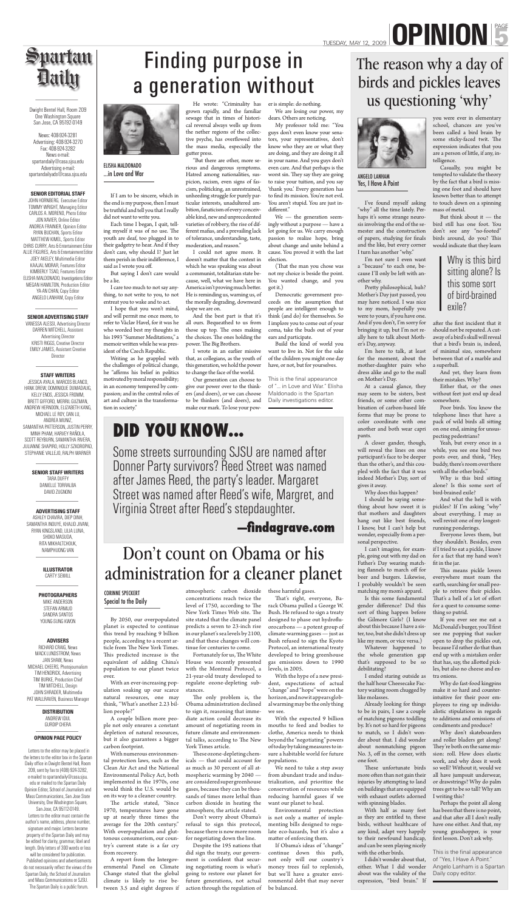By 2050, our overpopulated planet is expected to continue this trend by reaching 9 billion people, according to a recent article from The New York Times. This predicted increase is the equivalent of adding China's population to our planet twice over.

With an ever-increasing population soaking up our scarce natural resources, one may think, "What's another 2.23 billion people?"

A couple billion more people not only ensures a constant depletion of natural resources, but it also guarantees a bigger carbon footprint.

The article stated, "Since 1970, temperatures have gone up at nearly three times the average for the 20th century." With overpopulation and gluttonous consumerism, our country's current state is a far cry from recovery.

With numerous environmental protection laws, such as the Clean Air Act and the National Environmental Policy Act, both implemented in the 1970s, one would think the U.S. would be on its way to a cleaner country.

Fortunately for us, The White House was recently presented with the Montreal Protocol, a 21-year-old treaty developed to regulate ozone-depleting substances.

The only problem is, the Obama administration declined to sign it, reasoning that immediate action could decrease its amount of negotiating room in future climate and environmental talks, according to The New York Times article.

These ozone-depleting chemicals — that could account for as much as 30 percent of all atmospheric warming by 2040 are considered super greenhouse gases, because they can be thousands of times more lethal than carbon dioxide in heating the atmosphere, the article stated.

A report from the Intergovernmental Panel on Climate Change stated that the global climate is likely to rise between 3.5 and eight degrees if atmospheric carbon dioxide concentrations reach twice the level of 1750, according to The New York Times Web site. The site stated that the climate panel predicts a seven to 23-inch rise in our planet's sea levels by 2100, and that these changes will continue for centuries to come.

That's right, everyone, Barack Obama pulled a George W. Bush. He refused to sign a treaty designed to phase out hydrofluorocarbons — a potent group of climate-warming gases — just as Bush refused to sign the Kyoto Protocol, an international treaty developed to bring greenhouse gas emissions down to 1990 levels, in 2005.

Environmental protection is not only a matter of implementing bills designed to regulate eco-hazards, but it's also a matter of enforcing them.

Pretty philosophical, huh? Mother's Day just passed, you may have noticed. I was nice to my mom, hopefully you were to yours, if you have one. And if you don't, I'm sorry for bringing it up, but I'm not really here to talk about Mother's Day, anyway.

Don't worry about Obama's refusal to sign this protocol, because there is now more room for negotiating down the line.

Despite the 195 nations that did sign the treaty, our government is confident that securing negotiating room is what's going to restore our planet for future generations, not actual action through the regulation of these harmful gases.

With the hype of a new president, expectations of actual "change" and "hope" were on the horizon, and now it appears global warming may be the only thing we see.

With the expected 9 billion mouths to feed and bodies to clothe, America needs to think beyond the "negotiating" powers of today by taking measures to insure a habitable world for future populations.

We need to take a step away from abundant trade and industrialization, and prioritize the conservation of resources while reducing harmful gases if we want our planet to heal.

after the first incident that it should not be repeated. A cutaway of a bird's skull will reveal that a bird's brain is, indeed, of minimal size, somewhere between that of a marble and a superball.

If Obama's ideas of "change" continue down this path, not only will our country's money trees fail to replenish, but we'll have a greater environmental debt that may never be balanced.

Why is this bird sitting alone? Is this some sort of bird-brained exile?

I've found myself asking "why" all the time lately. Perhaps it's some strange neurosis involving the end of the semester and the construction of papers, studying for finals and the like, but every corner I turn has another "why."

> Everyone loves them, but they shouldn't. Besides, even if I tried to eat a pickle, I know for a fact that my hand won't fit in the jar.

I'm not sure I even want a "because" to each one, because I'll only be left with another why.

> This means pickle lovers everywhere must roam the earth, searching for small people to retrieve their pickles. That's a hell of a lot of effort for a quest to consume something so putrid.

I'm here to talk, at least for the moment, about the mother-daughter pairs who dress alike and go to the mall on Mother's Day.

> Perhaps the point all along has been that there is no point, and that after all I don't really have one either. And that, my young grasshopper, is your first lesson. Don't ask why.

At a casual glance, they may seem to be sisters, best friends, or some other combination of carbon-based life forms that may be prone to color coordinate with one another and both wear capri pants.

Each time I began, I quit, telling myself it was of no use. The youth are deaf, too plugged in to their gadgetry to hear. And if they don't care, why should I? Just let them perish in their indifference, I

> A closer gander, though, will reveal the lines on one participant's face to be deeper than the other's, and this coupled with the fact that it was indeed Mother's Day, sort of gives it away.

Why does this happen?

Writing as he grappled with the challenges of political change, he "affirms his belief in politics

said as I wrote you off.

He wrote: "Criminality has grown rapidly, and the familiar sewage that in times of historical reversal always wells up from the nether regions of the collective psyche, has overflowed into the mass media, especially the gutter press.

And the best part is that it's all ours. Bequeathed to us from those up top. The ones making the choices. The ones holding the power. The Big Brothers.

> I should be saying something about how sweet it is that mothers and daughters hang out like best friends, I know, but I can't help but wonder, especially from a personal perspective. I can't imagine, for example, going out with my dad on Father's Day wearing matching flannels to march off for beer and burgers. Likewise, I probably wouldn't be seen matching my mom's apparel. Is this some fundamental gender difference? Did this sort of thing happen before the Gilmore Girls? (I know about this because I have a sister, too, but she didn't dress up like my mom, or vice versa.) Whatever happened to the whole generation gap that's supposed to be so debilitating? I ended staring outside as the half hour Cheesecake Factory waiting room chugged by like molasses. Already looking for things to be in pairs, I saw a couple of matching pigeons toddling by. It's not so hard for pigeons to match, so I didn't wonder about that. I did wonder about nonmatching pigeon No. 3, off in the corner, with one foot. These unfortunate birds more often than not gain their injuries by attempting to land on buildings that are equipped with exhaust outlets adorned with spinning blades. With half as many feet as they are entitled to, these birds, without healthcare of any kind, adapt very happily to their newfound handicap, and can be seen playing nicely with the other birds.

dears. Others are noticing. My professor told me: "You guys don't even know your senators, your representatives, don't know who they are or what they are doing, and they are doing it all in your name. And you guys don't even care. And that perhaps is the worst sin. They say they are going to raise your tuition, and you say 'thank you.' Every generation has to find its mission. You're not evil. You aren't stupid. You are just indifferent."

(That the man you chose was not my choice is beside the point. You wanted change, and you got it.)

> I didn't wonder about that, either. What I did wonder about was the validity of the expression, "bird brain." If

you were ever in elementary school, chances are you've been called a bird brain by some sticky-faced twit. The expression indicates that you are a person of little, if any, intelligence.

Casually, you might be tempted to validate the theory by the fact that a bird is missing one foot and should have known better than to attempt to touch down on a spinning mass of metal.

VANESSA ALESSI, Advertising Director DARREN MITCHELL, Assistant Advertising Director KRISTI RIGGS, Creative Director EMILY JAMES, Assistant Creative **Director** 

But think about it — the bird still has one foot. You don't see any "no-footed" birds around, do you? This would indicate that they learn

And yet, they learn from their mistakes. Why?

Either that, or the ones without feet just end up dead somewhere.

Poor birds. You know the telephone lines that have a pack of wild birds all sitting on one end, aiming for unsuspecting pedestrians?

Yeah, but every once in a while, you see one bird two posts over, and think, "Hey, buddy, there's room over there with all the other birds."

And what the hell is with pickles? If I'm asking "why" about everything, I may as well revisit one of my longestrunning ponderings.

# TUESDAY, MAY 12, 2009 **0 PINION** PAGE

# Spartan *Daily*

ELISHA MALDONADO<br>...in Love and War ...in Love and War

> This is the final appearance of "... in Love and War." Elisha Maldonado is the Spartan Daily investigations editor.

> > This is the final appearance of "Yes, I Have A Point." Angelo Lanham is a Spartan Daily copy editor.

If you ever see me eat a McDonald's burger, you'll first see me popping that sucker open to drop the pickles out, because I'd rather do that than end up with a mistaken order that has, say, the allotted pickles, but also no cheese and extra onions.

Why do fast-food kingpins make it so hard and counterintuitive for their poor employees to ring up individualistic stipulations in regards to additions and omissions of condiments and produce?

Why don't skateboarders and roller bladers get along? They're both on the same mission: roll. How does elastic work, and why does it work so well? Without it, would we all have jumpsuit underwear, or drawstrings? Why do palm trees get to be so tall? Why am I writing this?

If I am to be sincere, which in the end is my purpose, then I must be truthful and tell you that I really did not want to write you.

But saying I don't care would

be a lie.

I care too much to not say anything, to not write to you, to not entreat you to wake and to act. I hope that you won't mind, and will permit me once more, to refer to Václav Havel, for it was he who worded best my thoughts in his 1993 "Summer Meditations," a memoir written while he was president of the Czech Republic.

tion in society."

"But there are other, more serious and dangerous symptoms. Hatred among nationalities, suspicion, racism, even signs of fascism, politicking, an unrestrained, unheeding struggle for purely particular interests, unadultered ambition, fanaticism of every conceivable kind, new and unprecedented varieties of robbery, the rise of different mafias, and a prevailing lack of tolerance, understanding, taste, moderation, and reason."

motivated by moral responsibility; in an economy tempered by compassion; and in the central roles of art and culture in the transforma-Our generation can choose to give our power over to the thinkers (and doers), or we can choose to be thinkers (and doers), and make our mark. To lose your pow-

I could not agree more. It doesn't matter that the context in which he was speaking was about a communist, totalitarian state because, well, what we have here in America isn't proving much better. He is reminding us, warning us, of the morally degrading, downward slope we are on.

I wrote in an earlier missive that, as collegians, as the youth of this generation, we hold the power to change the face of the world.

er is simple: do nothing. We are losing our power, my

We — the generation seemingly without a purpose — have a lot going for us. We carry enough passion to realize hope, bring about change and unite behind a cause. You proved it with the last election.

Democratic government proceeds on the assumption that people are intelligent enough to think (and do) for themselves. So I implore you to come out of your coma, take the buds out of your ears and participate.

Build the kind of world you want to live in. Not for the sake of the children you might one day have, or not, but for yourselves.

Dwight Bentel Hall, Room 209 One Washington Square San Jose, CA 95192-0149

News: 408-924-3281 Advertising: 408-924-3270 Fax: 408-924-3282 News e-mail: spartandaily@casa.sjsu.edu Advertising e-mail: spartandailyads@casa.sjsu.edu

### **SENIOR EDITORIAL STAFF**

JOHN HORNBERG, Executive Editor TOMMY WRIGHT, Managing Editor CARLOS A. MORENO, Photo Editor JON XAVIER, Online Editor ANDREA FRAINIER, Opinion Editor RYAN BUCHAN, Sports Editor MATTHEW KIMEL, Sports Editor CHRIS CURRY, Arts & Entertainment Editor ALLIE FIGURES, Arts & Entertainment Editor JOEY AKELEY, Multimedia Editor KAAJAL MORAR, Features Editor KIMBERLY TSAO, Features Editor ELISHA MALDONADO, Investigations Editor MEGAN HAMILTON, Production Editor YA-AN CHAN, Copy Editor ANGELO LANHAM, Copy Editor

### **SENIOR ADVERTISING STAFF**

#### **STAFF WRITERS**

JESSICA AYALA, MARCOS BLANCO, HANK DREW, DOMINIQUE DUMADAUG, KELLY ENOS, JESSICA FROMM, BRETT GIFFORD, MERRIL GUZMAN, ANDREW HERNDON, ELIZABETH KANG, MICHAEL LE ROY, DAN LU, ANDREA MUNIZ, SAMANTHA PATTERSON, JUSTIN PERRY MINH PHAM, HARVEY RAÑOLA, SCOTT REYBURN, SAMANTHA RIVERA, JULIANNE SHAPIRO, HOLLY SZKOROPAD, STEPHANIE VALLEJO, RALPH WARNER

> **SENIOR STAFF WRITERS** TARA DUFFY DANIELLE TORRALBA DAVID ZUGNONI

**ADVERTISING STAFF** ASHLEY CHAVIRA, DIEP DINH, SAMANTHA INOUYE, KHALID JIVANI,

RYAN KINGSLAND, LILIA LUNA, SHOKO MASUDA, RITA MIKHALTCHOUK, NAMPHUONG VAN

> **ILLUSTRATOR** CARTY SEWILL

**PHOTOGRAPHERS**

MIKE ANDERSON STEFAN ARMIJO SANDRA SANTOS YOUNG-SUNG KWON

#### **ADVISERS**

RICHARD CRAIG, News MACK LUNDSTROM, News JAN SHAW, News MICHAEL CHEERS, Photojournalism TIM HENDRICK, Advertising TIM BURKE, Production Chief TIM MITCHELL, Design JOHN SHRADER, Multimedia PAT WALLRAVEN, Business Manager

> **DISTRIBUTION** ANDREW IDUL GURDIP CHERA

#### **OPINION PAGE POLICY**

 Letters to the editor may be placed in the letters to the editor box in the Spartan Daily office in Dwight Bentel Hall, Room 209, sent by fax to (408) 924-3282, e-mailed to spartandaily@casa.sjsu. edu or mailed to the Spartan Daily Opinion Editor, School of Journalism and Mass Communications, San Jose State University, One Washington Square,

San Jose, CA 95112-0149. Letters to the editor must contain the author's name, address, phone number, signature and major. Letters become property of the Spartan Daily and may be edited for clarity, grammar, libel and length. Only letters of 300 words or less

will be considered for publication. Published opinions and advertisements do not necessarily reflect the views of the Spartan Daily, the School of Journalism and Mass Communications or SJSU. The Spartan Daily is a public forum.

# ministration for a cleaner plan  $$

### CORINNE SPECKERT<br>Special to the Daily Special to the Daily

# **—fi ndagrave.com**

# **DID YOU KNOW...**





### ANGELO LANHAM<br>Yes, I Have A Point  $\overline{\phantom{a}}$

# Finding purpose in a generation without

Some streets surrounding SJSU are named after Donner Party survivors? Reed Street was named after James Reed, the party's leader. Margaret Street was named after Reed's wife, Margret, and Virginia Street after Reed's stepdaughter.

Why is this bird sitting alone? Is this some sort of bird-brained exile?